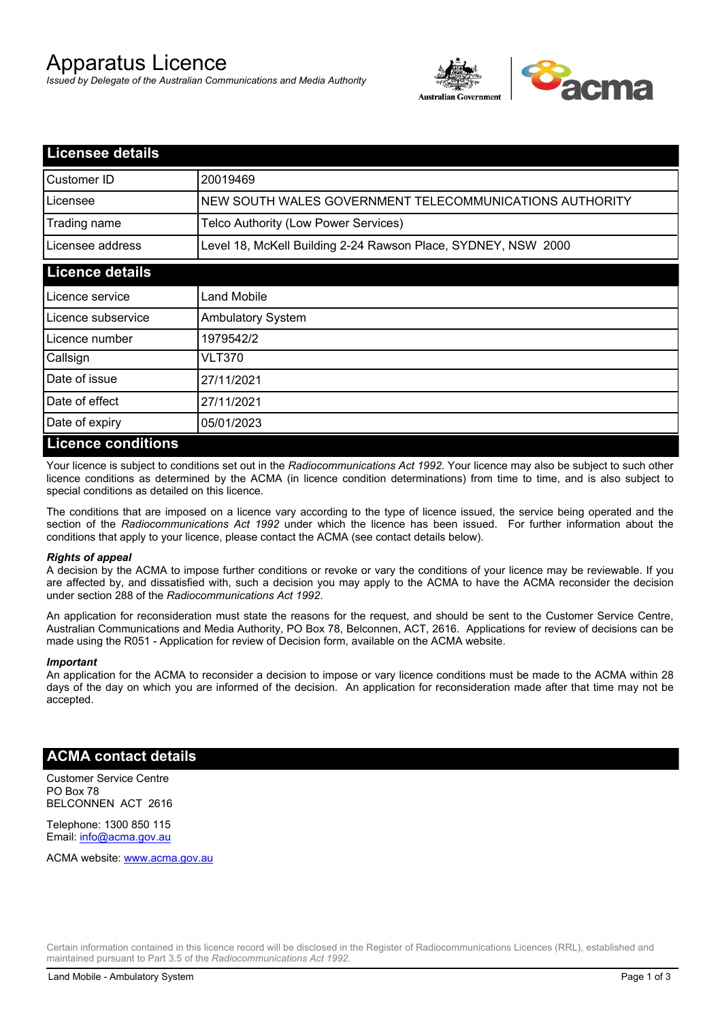# Apparatus Licence

*Issued by Delegate of the Australian Communications and Media Authority*



| <b>Licensee details</b> |                                                               |
|-------------------------|---------------------------------------------------------------|
| Customer ID             | 20019469                                                      |
| Licensee                | NEW SOUTH WALES GOVERNMENT TELECOMMUNICATIONS AUTHORITY       |
| Trading name            | Telco Authority (Low Power Services)                          |
| Licensee address        | Level 18, McKell Building 2-24 Rawson Place, SYDNEY, NSW 2000 |
| <b>Licence details</b>  |                                                               |
| Licence service         | <b>Land Mobile</b>                                            |
| Licence subservice      | <b>Ambulatory System</b>                                      |
| Licence number          | 1979542/2                                                     |
| Callsign                | VLT370                                                        |
| Date of issue           | 27/11/2021                                                    |
| Date of effect          | 27/11/2021                                                    |
| Date of expiry          | 05/01/2023                                                    |
| L icence conditions     |                                                               |

## **Licence conditions**

Your licence is subject to conditions set out in the *Radiocommunications Act 1992*. Your licence may also be subject to such other licence conditions as determined by the ACMA (in licence condition determinations) from time to time, and is also subject to special conditions as detailed on this licence.

The conditions that are imposed on a licence vary according to the type of licence issued, the service being operated and the section of the *Radiocommunications Act 1992* under which the licence has been issued. For further information about the conditions that apply to your licence, please contact the ACMA (see contact details below).

#### *Rights of appeal*

A decision by the ACMA to impose further conditions or revoke or vary the conditions of your licence may be reviewable. If you are affected by, and dissatisfied with, such a decision you may apply to the ACMA to have the ACMA reconsider the decision under section 288 of the *Radiocommunications Act 1992*.

An application for reconsideration must state the reasons for the request, and should be sent to the Customer Service Centre, Australian Communications and Media Authority, PO Box 78, Belconnen, ACT, 2616. Applications for review of decisions can be made using the R051 - Application for review of Decision form, available on the ACMA website.

#### *Important*

An application for the ACMA to reconsider a decision to impose or vary licence conditions must be made to the ACMA within 28 days of the day on which you are informed of the decision. An application for reconsideration made after that time may not be accepted.

### **ACMA contact details**

Customer Service Centre PO Box 78 BELCONNEN ACT 2616

Telephone: 1300 850 115 Email: info@acma.gov.au

ACMA website: www.acma.gov.au

Certain information contained in this licence record will be disclosed in the Register of Radiocommunications Licences (RRL), established and maintained pursuant to Part 3.5 of the *Radiocommunications Act 1992.*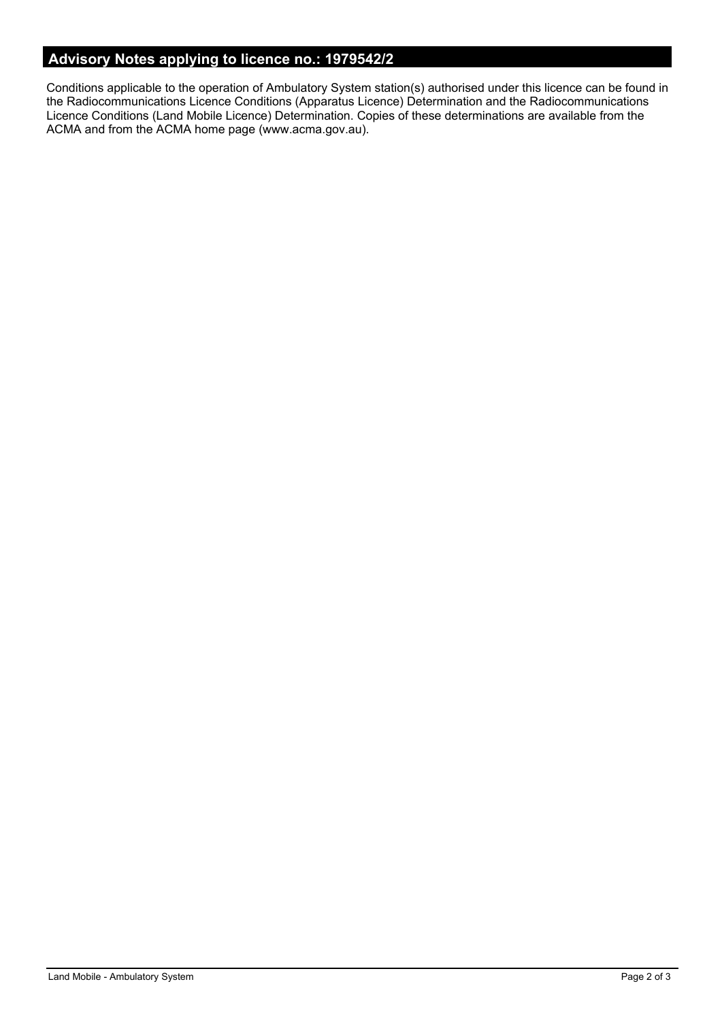# **Advisory Notes applying to licence no.: 1979542/2**

Conditions applicable to the operation of Ambulatory System station(s) authorised under this licence can be found in the Radiocommunications Licence Conditions (Apparatus Licence) Determination and the Radiocommunications Licence Conditions (Land Mobile Licence) Determination. Copies of these determinations are available from the ACMA and from the ACMA home page (www.acma.gov.au).